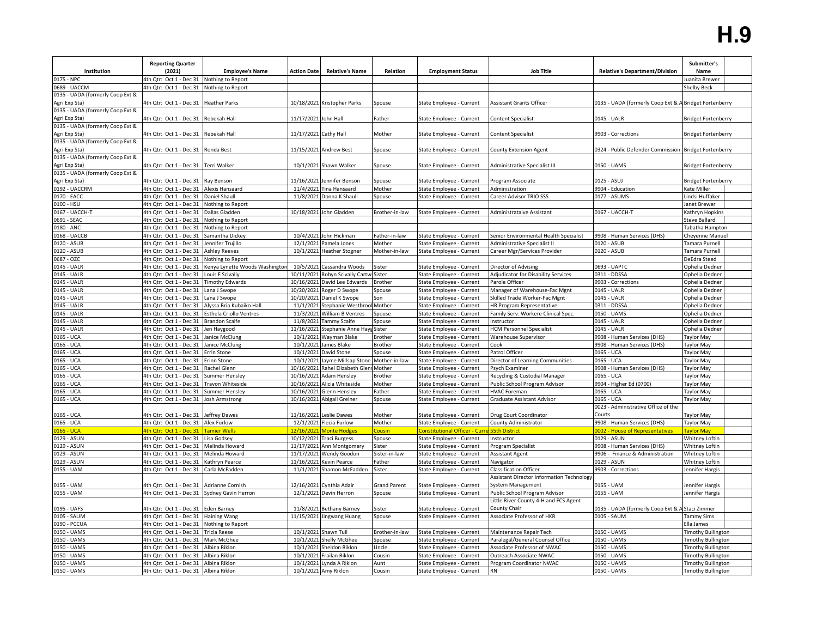|                                                   | <b>Reporting Quarter</b>                           |                                                  |                        |                                             |                         |                                                      |                                                                                   |                                                        | Submitter's                        |
|---------------------------------------------------|----------------------------------------------------|--------------------------------------------------|------------------------|---------------------------------------------|-------------------------|------------------------------------------------------|-----------------------------------------------------------------------------------|--------------------------------------------------------|------------------------------------|
| Institution                                       | (2021)                                             | <b>Employee's Name</b>                           | <b>Action Date</b>     | <b>Relative's Name</b>                      | Relation                | <b>Employment Status</b>                             | <b>Job Title</b>                                                                  | <b>Relative's Department/Division</b>                  | Name                               |
| 0175 - NPC                                        | 4th Qtr: Oct 1 - Dec 31                            | Nothing to Report                                |                        |                                             |                         |                                                      |                                                                                   |                                                        | uanita Brewer                      |
| 0689 - UACCM                                      | 4th Qtr: Oct 1 - Dec 31 Nothing to Report          |                                                  |                        |                                             |                         |                                                      |                                                                                   |                                                        | Shelby Beck                        |
| 0135 - UADA (formerly Coop Ext &                  |                                                    |                                                  |                        |                                             |                         |                                                      |                                                                                   |                                                        |                                    |
| Agri Exp Sta)                                     | 4th Qtr: Oct 1 - Dec 31                            | <b>Heather Parks</b>                             |                        | 10/18/2021 Kristopher Parks                 | Spouse                  | State Employee - Current                             | <b>Assistant Grants Officer</b>                                                   | 0135 - UADA (formerly Coop Ext & A Bridget Fortenberry |                                    |
| 0135 - UADA (formerly Coop Ext &                  |                                                    |                                                  |                        |                                             |                         |                                                      |                                                                                   |                                                        |                                    |
| Agri Exp Sta)<br>0135 - UADA (formerly Coop Ext & | 4th Qtr: Oct 1 - Dec 31 Rebekah Hall               |                                                  | 11/17/2021 John Hall   |                                             | Father                  | State Employee - Current                             | <b>Content Specialist</b>                                                         | 0145 - UALR                                            | <b>Bridget Fortenberry</b>         |
| Agri Exp Sta)                                     | 4th Qtr: Oct 1 - Dec 31                            | Rebekah Hall                                     | 11/17/2021 Cathy Hall  |                                             | Mother                  | State Employee - Current                             | <b>Content Specialist</b>                                                         | 9903 - Corrections                                     | <b>Bridget Fortenberry</b>         |
| 0135 - UADA (formerly Coop Ext &                  |                                                    |                                                  |                        |                                             |                         |                                                      |                                                                                   |                                                        |                                    |
| Agri Exp Sta)                                     | 4th Qtr: Oct 1 - Dec 31 Ronda Best                 |                                                  |                        | 11/15/2021 Andrew Best                      | Spouse                  | State Employee - Current                             | <b>County Extension Agent</b>                                                     | 0324 - Public Defender Commission Bridget Fortenberry  |                                    |
| 0135 - UADA (formerly Coop Ext &                  |                                                    |                                                  |                        |                                             |                         |                                                      |                                                                                   |                                                        |                                    |
| Agri Exp Sta)                                     | 4th Qtr: Oct 1 - Dec 31 Terri Walker               |                                                  |                        | 10/1/2021 Shawn Walker                      | Spouse                  | State Employee - Current                             | Administrative Specialist III                                                     | 0150 - UAMS                                            | <b>Bridget Fortenberry</b>         |
| 0135 - UADA (formerly Coop Ext &                  |                                                    |                                                  |                        |                                             |                         |                                                      |                                                                                   |                                                        |                                    |
| Agri Exp Sta)                                     | 4th Qtr: Oct 1 - Dec 31                            | Ray Benson                                       | 11/16/2021             | Jennifer Benson                             | Spouse                  | State Employee - Current                             | Program Associate                                                                 | 0125 - ASUJ                                            | Bridget Fortenberry                |
| 0192 - UACCRM                                     | 4th Qtr: Oct 1 - Dec 31 Alexis Hansaard            |                                                  | 11/4/2021              | Tina Hansaard                               | Mother                  | State Employee - Current                             | Administration                                                                    | 9904 - Education                                       | Kate Miller                        |
| 0170 - EACC                                       | 4th Qtr: Oct 1 - Dec 31                            | <b>Daniel Shaull</b>                             | 11/8/2021              | Donna K Shaull                              | Spouse                  | State Employee - Current                             | Career Advisor TRIO SSS                                                           | 0177 - ASUMS                                           | indsi Huffaker                     |
| 0100 - HSU                                        | 4th Qtr: Oct 1 - Dec 31 Nothing to Report          |                                                  |                        |                                             |                         |                                                      |                                                                                   |                                                        | Janet Brewer                       |
| 0167 - UACCH-T                                    | 4th Qtr: Oct 1 - Dec 31                            | Dallas Gladden                                   | 10/18/2021             | John Gladden                                | Brother-in-law          | State Employee - Current                             | Administrataive Assistant                                                         | 0167 - UACCH-T                                         | Kathryn Hopkins                    |
| 0691 - SEAC                                       | 4th Qtr: Oct 1 - Dec 31                            | Nothing to Report                                |                        |                                             |                         |                                                      |                                                                                   |                                                        | Steve Ballard                      |
| 0180 - ANC<br>0168 - UACCB                        | 4th Qtr: Oct 1 - Dec 31<br>4th Qtr: Oct 1 - Dec 31 | Nothing to Report<br>Samantha Dickey             | 10/4/2021              | John Hickman                                | Father-in-law           |                                                      | Senior Environmental Health Specialist                                            | 9908 - Human Services (DHS)                            | Tabatha Hampton<br>Cheyenne Manuel |
| 0120 - ASUB                                       | 4th Qtr: Oct 1 - Dec 31                            | Jennifer Trujillo                                | 12/1/2021              | Pamela Jones                                | Mother                  | State Employee - Current<br>State Employee - Current | Administrative Specialist II                                                      | 0120 - ASUB                                            | Tamara Purnell                     |
| 0120 - ASUB                                       | 4th Qtr: Oct 1 - Dec 31 Ashley Reeves              |                                                  | 10/1/2021              | <b>Heather Stogner</b>                      | Mother-in-law           | State Employee - Current                             | Career Mgr/Services Provider                                                      | 0120 - ASUB                                            | Tamara Purnell                     |
| 0687 - OZC                                        | 4th Qtr: Oct 1 - Dec 31 Nothing to Report          |                                                  |                        |                                             |                         |                                                      |                                                                                   |                                                        | DeEdra Steed                       |
| 0145 - UALR                                       | 4th Qtr: Oct 1 - Dec 31                            | Kenya Lynette Woods Washingtor                   | 10/5/2021              | Cassandra Woods                             | Sister                  | State Employee - Current                             | Director of Advising                                                              | 0693 - UAPTC                                           | Ophelia Dedner                     |
| 0145 - UALR                                       | 4th Qtr: Oct 1 - Dec 31 Louis F Scivally           |                                                  | 10/11/2021             | Robyn Scivally Cartw                        | Sister                  | State Employee - Current                             | Adjudicator for Disability Services                                               | 0311 - DDSSA                                           | Ophelia Dedner                     |
| 0145 - UALR                                       | 4th Qtr: Oct 1 - Dec 31 Timothy Edwards            |                                                  | 10/16/2021             | David Lee Edwards                           | Brother                 | State Employee - Current                             | Parole Officer                                                                    | 9903 - Corrections                                     | Ophelia Dedner                     |
| 0145 - UALR                                       | 4th Qtr: Oct 1 - Dec 31                            | Lana J Swope                                     | 10/20/2021             | Roger D Swope                               | Spouse                  | State Employee - Current                             | Manager of Warehouse-Fac Mgnt                                                     | 0145 - UALR                                            | Ophelia Dedner                     |
| 0145 - UALR                                       | 4th Qtr: Oct 1 - Dec 31                            | Lana J Swope                                     | 10/20/2021             | Daniel K Swope                              | Son                     | State Employee - Current                             | Skilled Trade Worker-Fac Mgnt                                                     | 0145 - UALR                                            | Ophelia Dedner                     |
| 0145 - UALR                                       |                                                    | 4th Qtr: Oct 1 - Dec 31 Alyssa Bria Kubaiko Hall | 11/1/2021              | Stephanie Westbroo                          | Mother                  | State Employee - Current                             | HR Program Representative                                                         | 0311 - DDSSA                                           | Ophelia Dedner                     |
| 0145 - UALR                                       | 4th Qtr: Oct 1 - Dec 31 Esthela Criollo Ventres    |                                                  | 11/3/2021              | <b>William B Ventres</b>                    | Spouse                  | State Employee - Current                             | Family Serv. Workere Clinical Spec.                                               | 0150 - UAMS                                            | Ophelia Dedner                     |
| 0145 - UALR                                       | 4th Qtr: Oct 1 - Dec 31                            | <b>Brandon Scaife</b>                            | 11/8/2021              | Tammy Scaife                                | Spouse                  | State Employee - Current                             | Instructor                                                                        | 0145 - UALR                                            | Ophelia Dedner                     |
| 0145 - UALR                                       | 4th Qtr: Oct 1 - Dec 31 Jen Haygood                |                                                  | 11/16/2021             | Stephanie Anne Hay                          | Sister                  | State Employee - Current                             | <b>HCM Personnel Specialist</b>                                                   | 0145 - UALR                                            | Ophelia Dedner                     |
| 0165 - UCA                                        | 4th Qtr: Oct 1 - Dec 31 Janice McClung             |                                                  | 10/1/2021              | Wayman Blake                                | 3rother                 | State Employee - Current                             | Warehouse Supervisor                                                              | 9908 - Human Services (DHS)                            | Taylor May                         |
| 0165 - UCA                                        | 4th Qtr: Oct 1 - Dec 31 Janice McClung             |                                                  | 10/1/2021              | James Blake                                 | <b>Brother</b>          | State Employee - Current                             | Cook                                                                              | 9908 - Human Services (DHS)                            | Taylor May                         |
| 0165 - UCA                                        | 4th Qtr: Oct 1 - Dec 31                            | <b>Errin Stone</b>                               | 10/1/2021<br>10/1/2021 | David Stone                                 | Spouse<br>Mother-in-law | State Employee - Current                             | Patrol Officer                                                                    | 0165 - UCA<br>0165 - UCA                               | Taylor May                         |
| 0165 - UCA<br>0165 - UCA                          | 4th Qtr: Oct 1 - Dec 31<br>4th Qtr: Oct 1 - Dec 31 | Erinn Stone<br>Rachel Glenn                      | 10/16/202:             | Jayme Millsap Stone<br>Rahel Elizabeth Gler | Mother                  | State Employee - Current<br>State Employee - Current | Director of Learning Communities<br>Psych Examiner                                | 9908 - Human Services (DHS)                            | <b>Taylor May</b><br>Taylor May    |
| 0165 - UCA                                        | 4th Qtr: Oct 1 - Dec 31 Summer Hensley             |                                                  | 10/16/2021             | <b>Adam Hensley</b>                         | Brother                 | State Employee - Current                             | Recycling & Custodial Manager                                                     | 0165 - UCA                                             | Taylor May                         |
| 0165 - UCA                                        | 4th Qtr: Oct 1 - Dec 31 Travon Whiteside           |                                                  | 10/16/2021             | Alicia Whiteside                            | Mother                  | State Employee - Current                             | Public School Program Advisor                                                     | 9904 - Higher Ed (0700)                                | Taylor May                         |
| 0165 - UCA                                        | 4th Qtr: Oct 1 - Dec 31                            | <b>Summer Hensley</b>                            | 10/16/2021             | Glenn Hensley                               | Father                  | State Employee - Current                             | <b>HVAC Foreman</b>                                                               | 0165 - UCA                                             | <b>Taylor May</b>                  |
| 0165 - UCA                                        | 4th Qtr: Oct 1 - Dec 31 Josh Armstrong             |                                                  | 10/16/2021             | Abigail Greiner                             | Spouse                  | State Employee - Current                             | Graduate Assistant Advisor                                                        | 0165 - UCA                                             | <b>Taylor May</b>                  |
|                                                   |                                                    |                                                  |                        |                                             |                         |                                                      |                                                                                   | 0023 - Administrative Office of the                    |                                    |
| 0165 - UCA                                        | 4th Qtr: Oct 1 - Dec 31 Jeffrey Dawes              |                                                  |                        | 11/16/2021 Leslie Dawes                     | Mother                  | State Employee - Current                             | Drug Court Coordinator                                                            | Courts                                                 | <b>Taylor May</b>                  |
| 0165 - UCA                                        | 4th Qtr: Oct 1 - Dec 31 Alex Furlow                |                                                  |                        | 12/1/2021 Flecia Furlow                     | Mother                  | State Employee - Current                             | County Administrator                                                              | 9908 - Human Services (DHS)                            | Taylor May                         |
| 0165 - UCA                                        | 4th Qtr: Oct 1 - Dec 31                            | <b>Tamier Wells</b>                              | 12/16/2021             | <b>Monte Hodges</b>                         | <b>Cousin</b>           | Constitutional Officer - Curr                        | 55th District                                                                     | 0002 - House of Representatives                        | Taylor May                         |
| 0129 - ASUN                                       | 4th Qtr: Oct 1 - Dec 31 Lisa Godsey                |                                                  |                        | 10/12/2021 Traci Burgess                    | Spouse                  | State Employee - Current                             | Instructor                                                                        | 0129 - ASUN                                            | <b>Whitney Loftin</b>              |
| 0129 - ASUN                                       | 4th Qtr: Oct 1 - Dec 31 Melinda Howard             |                                                  | 11/17/2021             | Ann Montgomery                              | Sister                  | State Employee - Current                             | Program Specialist                                                                | 9908 - Human Services (DHS)                            | Whitney Loftin                     |
| 0129 - ASUN                                       | 4th Qtr: Oct 1 - Dec 31 Melinda Howard             |                                                  | 11/17/2021             | Wendy Goodon                                | Sister-in-law           | State Employee - Current                             | <b>Assistant Agent</b>                                                            | 9906 - Finance & Administration                        | Whitney Loftin                     |
| 0129 - ASUN                                       | 4th Qtr: Oct 1 - Dec 31                            | Kathryn Pearce                                   | 11/16/2021             | Kevin Pearce                                | Father                  | State Employee - Current                             | Navigator                                                                         | 0129 - ASUN                                            | Whitney Loftin                     |
| 0155 - UAM                                        | 4th Qtr: Oct 1 - Dec 31 Carla McFadden             |                                                  |                        | 11/1/2021 Shamon McFadden                   | Sister                  | State Employee - Current                             | <b>Classification Officer</b><br><b>Assistant Director Information Technology</b> | 9903 - Corrections                                     | Jennifer Hargis                    |
| 0155 - UAM                                        | 4th Qtr: Oct 1 - Dec 31                            | Adrianne Cornish                                 | 12/16/2021             | Cynthia Adair                               | <b>Grand Parent</b>     | State Employee - Current                             | System Management                                                                 | 0155 - UAM                                             | Jennifer Hargis                    |
| 0155 - UAM                                        | 4th Qtr: Oct 1 - Dec 31 Sydney Gavin Herron        |                                                  | 12/1/2021              | Devin Herron                                | Spouse                  | State Employee - Current                             | Public School Program Advisor                                                     | 0155 - UAM                                             | Jennifer Hargis                    |
|                                                   |                                                    |                                                  |                        |                                             |                         |                                                      | Little River County 4-H and FCS Agent                                             |                                                        |                                    |
| 0195 - UAFS                                       | 4th Qtr: Oct 1 - Dec 31 Eden Barney                |                                                  | 11/8/2021              | <b>Bethany Barney</b>                       | Sister                  | State Employee - Current                             | County Chair                                                                      | 0135 - UADA (formerly Coop Ext & A Staci Zimmer        |                                    |
| 0105 - SAUM                                       | 4th Qtr: Oct 1 - Dec 31 Haining Wang               |                                                  | 11/15/2021             | Jingwang Huang                              | Spouse                  | State Employee - Current                             | Associate Professor of HKR                                                        | 0105 - SAUM                                            | <b>Tammy Sims</b>                  |
| 0190 - PCCUA                                      | 4th Qtr: Oct 1 - Dec 31 Nothing to Report          |                                                  |                        |                                             |                         |                                                      |                                                                                   |                                                        | Ella James                         |
| 0150 - UAMS                                       | 4th Qtr: Oct 1 - Dec 31 Tricia Reese               |                                                  | 10/1/2021              | Shawn Tull                                  | Brother-in-law          | State Employee - Current                             | Maintenance Repair Tech                                                           | 0150 - UAMS                                            | <b>Timothy Bullington</b>          |
| 0150 - UAMS                                       | 4th Qtr: Oct 1 - Dec 31 Mark McGhee                |                                                  | 10/1/2021              | <b>Shelly McGhee</b>                        | Spouse                  | State Employee - Current                             | Paralegal/General Counsel Office                                                  | 0150 - UAMS                                            | <b>Fimothy Bullington</b>          |
| 0150 - UAMS                                       | 4th Qtr: Oct 1 - Dec 31 Albina Riklon              |                                                  | 10/1/2021              | Sheldon Riklon                              | Uncle                   | State Employee - Current                             | Associate Professor of NWAC                                                       | 0150 - UAMS                                            | <b>Fimothy Bullington</b>          |
| 0150 - UAMS                                       | 4th Qtr: Oct 1 - Dec 31                            | Albina Riklon                                    | 10/1/2021              | Frailan Riklon                              | Cousin                  | State Employee - Current                             | Outreach Associate NWAC                                                           | 0150 - UAMS                                            | <b>Fimothy Bullington</b>          |
| 0150 - UAMS                                       | 4th Qtr: Oct 1 - Dec 31 Albina Riklon              |                                                  | 10/1/2021              | Lynda A Riklon                              | Aunt                    | State Employee - Current                             | Program Coordinator NWAC                                                          | 0150 - UAMS                                            | <b>Timothy Bullington</b>          |
| 0150 - UAMS                                       | 4th Qtr: Oct 1 - Dec 31 Albina Riklon              |                                                  |                        | 10/1/2021 Amy Riklon                        | Cousin                  | State Employee - Current                             | <b>RN</b>                                                                         | 0150 - UAMS                                            | <b>Timothy Bullington</b>          |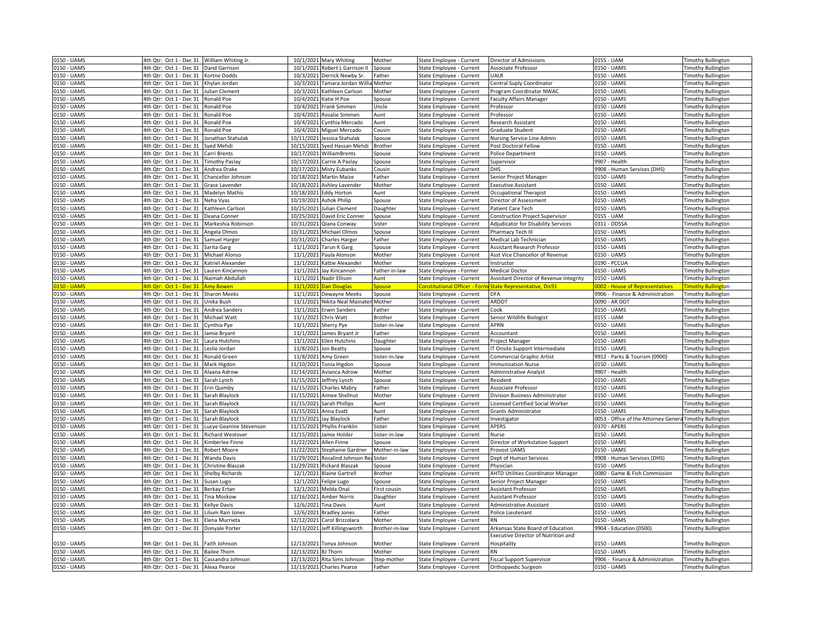| 0150 - UAMS                | 4th Qtr: Oct 1 - Dec 31 William Whiting Jr.                                       |                         |                         | 10/1/2021 Mary Whiting                                    | Mother                  | State Employee - Current                             | Director of Admissions                                  | 0155 - UAM                                     | <b>Timothy Bullington</b>                              |
|----------------------------|-----------------------------------------------------------------------------------|-------------------------|-------------------------|-----------------------------------------------------------|-------------------------|------------------------------------------------------|---------------------------------------------------------|------------------------------------------------|--------------------------------------------------------|
| 0150 - UAMS                | 4th Qtr: Oct 1 - Dec 31                                                           | <b>Dand Garrison</b>    |                         | 10/1/2021 Robert L Garrison II                            | Spouse                  | State Employee - Current                             | Associate Professor                                     | 0150 - UAMS                                    | <b>Fimothy Bullington</b>                              |
| 0150 - UAMS                | 4th Qtr: Oct 1 - Dec 31                                                           | Cortne Dodds            | 10/3/2021               | Derrick Newby Sr.                                         | ather                   | State Employee - Current                             | UALR                                                    | 0150 - UAMS                                    | <b>Fimothy Bullington</b>                              |
| 0150 - UAMS                | 4th Qtr: Oct 1 - Dec 31                                                           | Khylan Jordan           |                         | 10/3/2021 Tamara Jordan Willi                             | Mother                  | State Employee - Current                             | Central Suply Coordinator                               | 0150 - UAMS                                    | <b>Timothy Bullington</b>                              |
| 0150 - UAMS                | 4th Qtr: Oct 1 - Dec 31                                                           | Julian Clement          | 10/3/2021               | Kathleen Carlson                                          | Mother                  | State Employee - Current                             | Program Coordinator NWAC                                | 0150 - UAMS                                    | <b>Timothy Bullington</b>                              |
| 0150 - UAMS                | 4th Qtr: Oct 1 - Dec 31                                                           | Ronald Poe              | 10/4/2021               | Katie H Poe                                               | Spouse                  | State Employee - Current                             | <b>Faculty Affairs Manager</b>                          | 0150 - UAMS                                    | <b>Fimothy Bullington</b>                              |
| 0150 - UAMS                | 4th Qtr: Oct 1 - Dec 31                                                           | Ronald Poe              | 10/4/2021               | Frank Simmen                                              | Uncle                   | State Employee - Current                             | Professor                                               | 0150 - UAMS                                    | <b>Timothy Bullington</b>                              |
| 0150 - UAMS                | 4th Qtr: Oct 1 - Dec 31                                                           | Ronald Poe              |                         | 10/4/2021 Rosalie Simmen                                  | Aunt                    | State Employee - Current                             | Professor                                               | 0150 - UAMS                                    | <b>Timothy Bullington</b>                              |
| 0150 - UAMS                | 4th Qtr: Oct 1 - Dec 31                                                           | Ronald Poe              |                         | 10/4/2021 Cynthia Mercado                                 | Aunt                    | State Employee - Current                             | <b>Research Assistant</b>                               | 0150 - UAMS                                    | <b>Timothy Bullington</b>                              |
| 0150 - UAMS                | 4th Qtr: Oct 1 - Dec 31                                                           | Ronald Poe              |                         | 10/4/2021 Miguel Mercado                                  | Cousin                  | State Employee - Current                             | Graduate Student                                        | 0150 - UAMS                                    | <b>Timothy Bullington</b>                              |
| 0150 - UAMS                | 4th Qtr: Oct 1 - Dec 31                                                           | Jonathan Stahulak       | 10/11/2021              | Jessica Stahulak                                          | Spouse                  | State Employee - Current                             | Nursing Service Line Admin                              | 0150 - UAMS                                    | <b>Timothy Bullington</b>                              |
| 0150 - UAMS                | 4th Qtr: Oct 1 - Dec 31                                                           | Syed Mehdi              |                         | 10/15/2021 Syed Hassan Mehdi                              | <b>Brother</b>          | State Employee - Current                             | Post Doctoral Fellow                                    | 0150 - UAMS                                    | <b>Timothy Bullington</b>                              |
| 0150 - UAMS                | 4th Qtr: Oct 1 - Dec 31                                                           | Carri Brents            |                         | 10/17/2021 WilliamBrents                                  | Spouse                  | State Employee - Current                             | <b>Police Department</b>                                | 0150 - UAMS                                    | <b>Timothy Bullington</b>                              |
| 0150 - UAMS                | 4th Qtr: Oct 1 - Dec 31                                                           | <b>Fimothy Paslay</b>   |                         | 10/17/2021 Carrie A Paslay                                | Spouse                  | State Employee - Current                             | Supervisor                                              | 9907 - Health                                  | <b>Timothy Bullington</b>                              |
| 0150 - UAMS                | 4th Qtr: Oct 1 - Dec 31                                                           | Andrea Drake            |                         | 10/17/2021 Misty Eubanks                                  | Cousin                  | State Employee - Current                             | <b>DHS</b>                                              | 9908 - Human Services (DHS)                    | <b>Timothy Bullington</b>                              |
| 0150 - UAMS                | 4th Qtr: Oct 1 - Dec 31                                                           | Chancellor Johnson      |                         | 10/18/2021 Martin Maize                                   | ather                   | State Employee - Current                             | Senior Project Manager                                  | 0150 - UAMS                                    | <b>Timothy Bullington</b>                              |
| 0150 - UAMS                | 4th Qtr: Oct 1 - Dec 31                                                           | <b>Grace Lavender</b>   |                         | 10/18/2021 Ashley Lavender                                | Mother                  | State Employee - Current                             | <b>Executive Assistant</b>                              | 0150 - UAMS                                    | <b>Timothy Bullington</b>                              |
| 0150 - UAMS                | 4th Qtr: Oct 1 - Dec 31                                                           | Madelyn Mathis          |                         | 10/18/2021 Eddy Horton                                    | Aunt                    | State Employee - Current                             | Occupational Therapist                                  | 0150 - UAMS                                    | <b>Timothy Bullington</b>                              |
| 0150 - UAMS                | 4th Qtr: Oct 1 - Dec 31                                                           | Neha Vyas               |                         | 10/19/2021 Ashok Philip                                   | Spouse                  | State Employee - Current                             | Director of Assessment                                  | 0150 - UAMS                                    | <b>Timothy Bullington</b>                              |
| 0150 - UAMS                | 4th Qtr: Oct 1 - Dec 31                                                           | Kathleen Carlson        |                         | 10/25/2021 Julian Clement                                 | Daughter                | State Employee - Current                             | Patient Care Tech                                       | 0150 - UAMS                                    | <b>Timothy Bullington</b>                              |
| 0150 - UAMS                | 4th Qtr: Oct 1 - Dec 31                                                           | Deana Conner            |                         | 10/25/2021 David Eric Conner                              | Spouse                  | State Employee - Current                             | <b>Construction Project Supervisor</b>                  | 0155 - UAM                                     | <b>Timothy Bullington</b>                              |
| 0150 - UAMS                | 4th Qtr: Oct 1 - Dec 31                                                           | Markeshia Robinson      | 10/31/2021              | Qiana Conway                                              | Sister                  | State Employee - Current                             | Adjudicator for Disability Services                     | 0311 - DDSSA                                   | <b>Timothy Bullington</b>                              |
| 0150 - UAMS                | 4th Qtr: Oct 1 - Dec 31                                                           | Angela Olmos            |                         | 10/31/2021 Michael Olmos                                  | Spouse                  | State Employee - Current                             | Pharmacy Tech III                                       | 0150 - UAMS                                    | <b>Fimothy Bullington</b>                              |
| 0150 - UAMS                | 4th Qtr: Oct 1 - Dec 31                                                           | Samuel Harger           |                         | 10/31/2021 Charles Harger                                 | ather <sup>:</sup>      | State Employee - Current                             | Medical Lab Technician                                  | 0150 - UAMS                                    | <b>Timothy Bullington</b>                              |
| 0150 - UAMS                | 4th Qtr: Oct 1 - Dec 31                                                           | Sarita Garg             | 11/1/2021               | <b>Tarun K Garg</b>                                       | Spouse                  | State Employee - Current                             | <b>Assistant Research Professor</b>                     | 0150 - UAMS                                    | <b>Fimothy Bullington</b>                              |
| 0150 - UAMS                | 4th Qtr: Oct 1 - Dec 31                                                           | Michael Alonso          | 11/1/2021               | Paula Alonson                                             | Mother                  | State Employee - Current                             | Asst Vice Chancellor of Revenue                         | 0150 - UAMS                                    | <b>Fimothy Bullington</b>                              |
| 0150 - UAMS                | 4th Qtr: Oct 1 - Dec 31                                                           | Katriel Alexander       |                         | 11/1/2021 Kattie Alexander                                | Mother                  | State Employee - Current                             | Instructor                                              | 0190 - PCCUA                                   | <b>Timothy Bullington</b>                              |
| 0150 - UAMS                | 4th Qtr: Oct 1 - Dec 31                                                           | auren Kincannon         |                         | 11/1/2021 Jay Kincannon                                   | Father-in-law           | State Employee - Former                              | <b>Medical Doctor</b>                                   | 0150 - UAMS                                    | <b>Timothy Bullington</b>                              |
| 0150 - UAMS                | 4th Qtr: Oct 1 - Dec 31                                                           | Naimah Abdullah         |                         | 11/1/2021 Nadir Ellison                                   | Aunt                    | State Employee - Current                             | Assistant Director of Revenue Integrity                 | 0150 - UAMS                                    | <b>Fimothy Bullington</b>                              |
| <mark>150 - UAM</mark>     | 4th Qtr: Oct 1 - Dec 31                                                           | <mark>\my Bower</mark>  | 11/1/2021               | Dan Dougla                                                | pouse                   | <b>Constitutional Officer - For</b>                  | State Representative, Dis9                              | <b>002 - House of Representatives</b>          | imothy Bullington                                      |
| 0150 - UAMS                | 4th Qtr: Oct 1 - Dec 31                                                           | <b>Sharon Meeks</b>     |                         | 11/1/2021 Dewayne Meeks                                   | Spouse                  | State Employee - Current                             | <b>DFA</b>                                              | 9906 - Finance & Administration                | <b>Fimothy Bullington</b>                              |
| 0150 - UAMS                | 4th Qtr: Oct 1 - Dec 31                                                           | Unika Bush              |                         | 11/1/2021 Nikita Neal Mainater                            | Mother                  | State Employee - Current                             | <b>ARDOT</b>                                            | 0090 - AR DOT                                  | <b>Fimothy Bullington</b>                              |
| 0150 - UAMS                | 4th Qtr: Oct 1 - Dec 31                                                           | Andrea Sanders          |                         | 11/1/2021 Erwin Sanders                                   | ather <sup>:</sup>      | State Employee - Current                             | Cook                                                    | 0150 - UAMS                                    | <b>Fimothy Bullington</b>                              |
| 0150 - UAMS                | 4th Qtr: Oct 1 - Dec 31                                                           | Michael Watt            |                         | 11/1/2021 Chris Watt                                      | <b>Brother</b>          | State Employee - Current                             | Senior Wildlife Biologist                               | 0155 - UAM                                     | <b>Timothy Bullington</b>                              |
| 0150 - UAMS                | 4th Qtr: Oct 1 - Dec 31                                                           | Cynthia Pye             |                         | 11/1/2021 Sherry Pye                                      | Sister-in-law           | State Employee - Current                             | <b>APRN</b>                                             | 0150 - UAMS                                    | <b>Timothy Bullington</b>                              |
| 0150 - UAMS                | 4th Qtr: Oct 1 - Dec 31                                                           | Jamie Bryant            | 11/1/2021               | James Bryant Jr                                           | Father                  | State Employee - Current                             | Accountant                                              | 0150 - UAMS                                    | <b>Timothy Bullington</b>                              |
| 0150 - UAMS                | 4th Qtr: Oct 1 - Dec 31                                                           | Laura Hutchins          |                         | 11/1/2021 Ellen Hutchins                                  | Daughter                | State Employee - Current                             | Project Manager                                         | 0150 - UAMS                                    | <b>Timothy Bullington</b>                              |
| 0150 - UAMS                | 4th Qtr: Oct 1 - Dec 31                                                           | Leslie Jordan           |                         | 11/8/2021 Jon Beatty                                      | Spouse                  | State Employee - Current                             | IT Onsite Support Intermediate                          | 0150 - UAMS                                    | <b>Timothy Bullington</b>                              |
| 0150 - UAMS                | 4th Qtr: Oct 1 - Dec 31                                                           | Ronald Green            |                         | 11/8/2021 Amy Green                                       | Sister-in-law           | State Employee - Current                             | <b>Commercial Graphic Artist</b>                        | 9912 - Parks & Tourism (0900)                  | <b>Timothy Bullington</b>                              |
| 0150 - UAMS                | 4th Qtr: Oct 1 - Dec 31                                                           | Mark Higdon             |                         | 11/10/2021 Tonia Higdon                                   | Spouse                  | State Employee - Current                             | <b>Immunization Nurse</b>                               | 0150 - UAMS                                    | <b>Fimothy Bullington</b>                              |
| 0150 - UAMS                | 4th Qtr: Oct 1 - Dec 31                                                           | Alaana Adrow            |                         | 11/14/2021 Avianca Adrow                                  | Mother                  | State Employee - Current                             | <b>Administrative Analyst</b>                           | 9907 - Health                                  | <b>Timothy Bullington</b>                              |
| 0150 - UAMS                | 4th Qtr: Oct 1 - Dec 31                                                           | Sarah Lynch             |                         | 11/15/2021 Jeffrey Lynch                                  | Spouse                  |                                                      |                                                         |                                                |                                                        |
| 0150 - UAMS                | 4th Qtr: Oct 1 - Dec 31                                                           | Erin Quimby             |                         |                                                           |                         |                                                      |                                                         |                                                |                                                        |
| 0150 - UAMS                | 4th Qtr: Oct 1 - Dec 31                                                           |                         |                         |                                                           |                         | State Employee - Current                             | Resident                                                | 0150 - UAMS                                    | <b>Timothy Bullington</b>                              |
| 0150 - UAMS                |                                                                                   |                         |                         | 11/15/2021 Charles Mabry                                  | Father                  | State Employee - Current                             | Associate Professor                                     | 0150 - UAMS                                    | <b>Timothy Bullington</b>                              |
|                            |                                                                                   | Sarah Blaylock          |                         | 11/15/2021 Aimee Shellnut                                 | Mother                  | State Employee - Current                             | Division Business Administrator                         | 0150 - UAMS                                    | <b>Timothy Bullington</b>                              |
|                            | 4th Qtr: Oct 1 - Dec 31                                                           | Sarah Blaylock          | 11/15/2021              | Sarah Phillips                                            | Aunt                    | State Employee - Current                             | Licensed Certified Social Worker                        | 0150 - UAMS                                    | <b>Timothy Bullington</b>                              |
| 0150 - UAMS                | 4th Qtr: Oct 1 - Dec 31                                                           | Sarah Blaylock          | 11/15/2021 Anna Evatt   |                                                           | Aunt                    | State Employee - Current                             | <b>Grants Administrator</b>                             | 0150 - UAMS                                    | <b>Timothy Bullington</b>                              |
| 0150 - UAMS                | 4th Qtr: Oct 1 - Dec 31                                                           | Sarah Blaylock          | 11/15/2021 Jay Blaylock |                                                           | Father                  | State Employee - Current                             | Investigator<br><b>APERS</b>                            | 0053 - Office of the Attorney Genera           | <b>Timothy Bullington</b>                              |
| 0150 - UAMS                | 4th Qtr: Oct 1 - Dec 31                                                           | ucye Geanine Stevenson  | 11/15/2021              | Phyllis Franklin                                          | Sister                  | State Employee - Current                             |                                                         | 0370 - APERS                                   | <b>Fimothy Bullington</b>                              |
| 0150 - UAMS<br>0150 - UAMS | 4th Qtr: Oct 1 - Dec 31                                                           | <b>Richard Westover</b> | 11/15/2021              | Jamie Holder                                              | ister-in-law            | State Employee - Current                             | Nurse                                                   | 0150 - UAMS                                    | <b>Fimothy Bullington</b>                              |
|                            | 4th Qtr: Oct 1 - Dec 31                                                           | Kimberlee Finne         |                         | 11/22/2021 Allen Finne                                    | Spouse                  | State Employee - Current                             | Director of Workstation Support                         | 0150 - UAMS                                    | <b>Timothy Bullington</b>                              |
| 0150 - UAMS                | 4th Qtr: Oct 1 - Dec 31                                                           | Robert Moore            | 11/22/2021              | Stephanie Gardner                                         | Mother-in-law<br>Sister | State Employee - Current                             | Provost UAMS                                            | 0150 - UAMS                                    | <b>Timothy Bullington</b>                              |
| 0150 - UAMS                | 4th Qtr: Oct 1 - Dec 31                                                           | <b>Nanda Davis</b>      | 11/29/2021              | Rosalind Johnson Re                                       |                         | State Employee - Current                             | Dept of Human Services                                  | 9908 - Human Services (DHS)                    | <b>Fimothy Bullington</b>                              |
| 0150 - UAMS                | 4th Qtr: Oct 1 - Dec 31                                                           | Christine Blaszak       | 11/29/2021              | <b>Rickard Blaszak</b>                                    | spouse                  | State Employee - Current                             | Physician                                               | 0150 - UAMS                                    | <b>Fimothy Bullington</b>                              |
| 0150 - UAMS                | 4th Qtr: Oct 1 - Dec 31                                                           | <b>Shelby Richards</b>  |                         | 12/1/2021 Blaine Gartrell                                 | <b>Brother</b>          | State Employee - Current                             | <b>AHTD Utilities Coordinator Manager</b>               | 0080 - Game & Fish Commission                  | <b>Fimothy Bullington</b>                              |
| 0150 - UAMS                | 4th Qtr: Oct 1 - Dec 31                                                           | Susan Lugo              |                         | 12/1/2021 Felipe Lugo                                     | Spouse                  | State Employee - Current                             | Senior Project Manager                                  | 0150 - UAMS                                    | <b>Fimothy Bullington</b>                              |
| 0150 - UAMS                | 4th Qtr: Oct 1 - Dec 31                                                           | Berkay Ertan            |                         | 12/1/2021 Melda Onal                                      | First cousin            | State Employee - Current                             | Assistant Professor                                     | 0150 - UAMS                                    | <b>Fimothy Bullington</b>                              |
| 0150 - UAMS                | 4th Qtr: Oct 1 - Dec 31                                                           | Tina Moskow             | 12/16/2021              | Amber Norris                                              | <b>Daughter</b>         | State Employee - Current                             | <b>Assistant Professor</b>                              | 0150 - UAMS                                    | <b>Timothy Bullington</b>                              |
| 0150 - UAMS                | 4th Qtr: Oct 1 - Dec 31                                                           | <b>Kellye Davis</b>     | 12/6/2021 Tina Davis    |                                                           | Aunt                    | State Employee - Current                             | Administrative Assistant                                | 0150 - UAMS                                    | <b>Timothy Bullington</b>                              |
| 0150 - UAMS                | 4th Qtr: Oct 1 - Dec 31                                                           | Lilium Rain Jones       | 12/6/2021               | <b>Bradley Jones</b>                                      | Father                  | State Employee - Current                             | Police Lieutenant                                       | 0150 - UAMS                                    | <b>Timothy Bullington</b>                              |
| 0150 - UAMS                | 4th Qtr: Oct 1 - Dec 31                                                           | Elena Murrieta          | 12/12/2021              | Carol Brizzolara                                          | Mother                  | State Employee - Current                             |                                                         | 0150 - UAMS                                    | <b>Timothy Bullington</b>                              |
| 0150 - UAMS                | 4th Qtr: Oct 1 - Dec 31 Donyale Porter                                            |                         |                         | 12/13/2021 Jeff Killingsworth                             | Brother-in-law          | State Employee - Current                             | Arkansas State Board of Education                       | 9904 - Education (0500)                        | <b>Timothy Bullington</b>                              |
|                            |                                                                                   |                         |                         |                                                           |                         |                                                      | Executive Director of Nutrition and                     |                                                |                                                        |
| 0150 - UAMS                | 4th Qtr: Oct 1 - Dec 31                                                           | Faith Johnson           |                         | 12/13/2021 Tonya Johnson                                  | Mother                  | State Employee - Current                             | Hospitality<br><b>RN</b>                                | 0150 - UAMS                                    | <b>Timothy Bullington</b>                              |
| 0150 - UAMS                | 4th Qtr: Oct 1 - Dec 31                                                           | <b>Bailee Thorn</b>     | 12/13/2021 BJ Thorn     |                                                           | Mother                  | State Employee - Current                             |                                                         | 0150 - UAMS                                    | imothy Bullington                                      |
| 0150 - UAMS<br>0150 - UAMS | 4th Qtr: Oct 1 - Dec 31 Cassandra Johnson<br>4th Qtr: Oct 1 - Dec 31 Alexa Pearce |                         |                         | 12/13/2021 Rita Sims Johnson<br>12/13/2021 Charles Pearce | Step-mother<br>Father   | State Employee - Current<br>State Employee - Current | <b>Fiscal Support Supervisor</b><br>Orthopaedic Surgeon | 9906 - Finance & Administration<br>0150 - UAMS | <b>Timothy Bullington</b><br><b>Timothy Bullington</b> |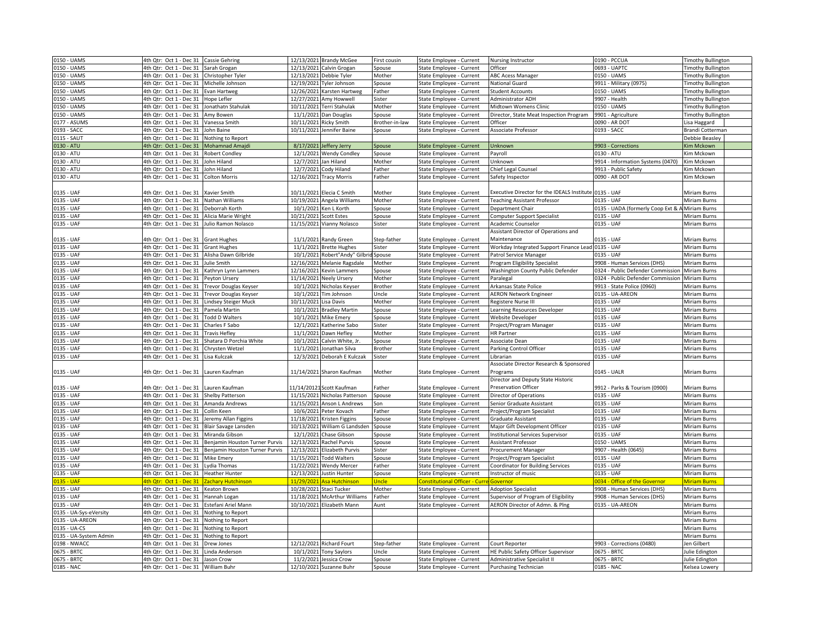| 0150 - UAMS                               | 4th Qtr: Oct 1 - Dec 31                                         | <b>Cassie Gehring</b>          |            | 12/13/2021 Brandy McGee                           | First cousin     | State Employee - Current                             | Nursing Instructor                                           | 0190 - PCCUA                       | <b>Timothy Bullington</b>       |
|-------------------------------------------|-----------------------------------------------------------------|--------------------------------|------------|---------------------------------------------------|------------------|------------------------------------------------------|--------------------------------------------------------------|------------------------------------|---------------------------------|
| 150 - UAMS                                | 4th Qtr: Oct 1 - Dec 31                                         | Sarah Grogan                   |            | 12/13/2021 Calvin Grogan                          | spouse           | State Employee - Current                             | Officer                                                      | 0693 - UAPTC                       | imothy Bullington               |
| 0150 - UAMS                               | 4th Qtr: Oct 1 - Dec 31                                         | Christopher Tyler              |            | 12/13/2021 Debbie Tyler                           | Mother           | State Employee - Current                             | <b>ABC Acess Manager</b>                                     | 0150 - UAMS                        | <b>Timothy Bullington</b>       |
| 0150 - UAMS                               | 4th Qtr: Oct 1 - Dec 31                                         | Michelle Johnson               |            | 12/19/2021 Tyler Johnson                          | Spouse           | State Employee - Current                             | National Guard                                               | 9911 - Military (0975)             | Timothy Bullington              |
| 0150 - UAMS                               | 4th Qtr: Oct 1 - Dec 31                                         | <b>Evan Hartweg</b>            | 12/26/2021 | Karsten Hartweg                                   | Father           | State Employee - Current                             | <b>Student Accounts</b>                                      | 0150 - UAMS                        | <b>Timothy Bullington</b>       |
| 0150 - UAMS                               | 4th Qtr: Oct 1 - Dec 31                                         | Hope Lefler                    | 12/27/2021 | Amy Howwell                                       | Sister           | State Employee - Current                             | Administrator ADH                                            | 9907 - Health                      | <b>Timothy Bullington</b>       |
| 0150 - UAMS                               | 4th Qtr: Oct 1 - Dec 31                                         | Jonathatn Stahulak             | 10/11/2021 | Terri Stahulak                                    | Mother           | State Employee - Current                             | Midtown Womens Clinic                                        | 0150 - UAMS                        | <b>Timothy Bullington</b>       |
| 0150 - UAMS                               | 4th Qtr: Oct 1 - Dec 31                                         | Amy Bowen                      |            | 11/1/2021 Dan Douglas                             | Spouse           | State Employee - Current                             | Director, State Meat Inspection Program                      | 9901 - Agriculture                 | <b>Timothy Bullington</b>       |
| 0177 - ASUMS                              | 4th Qtr: Oct 1 - Dec 31                                         | Vanessa Smith                  | 10/11/2021 | Ricky Smith                                       | Brother-in-law   | State Employee - Current                             | Officer                                                      | 0090 - AR DOT                      | Lisa Haggard                    |
| 0193 - SACC                               | 4th Qtr: Oct 1 - Dec 31                                         | John Baine                     | 10/11/2021 | Jennifer Baine                                    | Spouse           | State Employee - Current                             | Associate Professor                                          | 0193 - SACC                        | Brandi Cotterman                |
| 0115 - SAUT                               | 4th Qtr: Oct 1 - Dec 31                                         | Nothing to Report              |            |                                                   |                  |                                                      |                                                              |                                    | Debbie Beasley                  |
| 0130 - ATU                                | 4th Qtr: Oct 1 - Dec 31                                         | <b>Mohamnad Amajdi</b>         |            | 8/17/2021 Jeffery Jerry                           | Spouse           | <b>State Employee - Current</b>                      | Unknown                                                      | 9903 - Corrections                 | Kim Mckown                      |
| 0130 - ATU                                | 4th Qtr: Oct 1 - Dec 31                                         | <b>Robert Condley</b>          |            | 12/1/2021 Wendy Condley                           | Spouse           | State Employee - Current                             | Payroll                                                      | 0130 - ATU                         | Kim Mckown                      |
| 0130 - ATU                                | 4th Qtr: Oct 1 - Dec 31                                         | John Hiland                    | 12/7/2021  | Jan Hiland                                        | Mother           | State Employee - Current                             | Unknown                                                      | 9914 - Information Systems (0470)  | Kim Mckown                      |
| 0130 - ATU                                | 4th Qtr: Oct 1 - Dec 31                                         | John Hiland                    |            | 12/7/2021 Cody Hiland                             | ather            | State Employee - Current                             | Chief Legal Counsel                                          | 9913 - Public Safety               | Kim Mckown                      |
| 0130 - ATU                                | 4th Qtr: Oct 1 - Dec 31                                         | <b>Colton Morris</b>           |            | 12/16/2021 Tracy Morris                           | Father           | State Employee - Current                             | Safety Inspector                                             | 0090 - AR DOT                      | Kim Mckown                      |
|                                           |                                                                 |                                |            |                                                   |                  |                                                      |                                                              |                                    |                                 |
| 0135 - UAF                                | 4th Qtr: Oct 1 - Dec 31                                         | <b>Xavier Smith</b>            |            | 10/11/2021 Elecia C Smith                         | Mother           | State Employee - Current                             | xecutive Director for the IDEALS Institute 0135 - UAF        |                                    | Miriam Burns                    |
| 0135 - UAF                                | 4th Qtr: Oct 1 - Dec 31                                         | Nathan Williams                |            | 10/19/2021 Angela Williams                        | Mother           | State Employee - Current                             | <b>Teaching Assistant Professor</b>                          | 0135 - UAF                         | Miriam Burns                    |
| 0135 - UAF                                | 4th Qtr: Oct 1 - Dec 31                                         | Deborrah Korth                 |            | 10/1/2021 Ken L Korth                             | Spouse           | State Employee - Current                             | Department Chair                                             | 0135 - UADA (formerly Coop Ext & A | <b>Miriam Burns</b>             |
| 0135 - UAF                                | 4th Qtr: Oct 1 - Dec 31                                         | Alicia Marie Wright            | 10/21/2021 | <b>Scott Estes</b>                                | Spouse           | State Employee - Current                             | Computer Support Specialist                                  | 0135 - UAF                         | Miriam Burns                    |
| 0135 - UAF                                | 4th Qtr: Oct 1 - Dec 31                                         | Julio Ramon Nolasco            |            | 11/15/2021 Vianny Nolasco                         | Sister           |                                                      | Academic Counselor                                           | 0135 - UAF                         | Miriam Burns                    |
|                                           |                                                                 |                                |            |                                                   |                  | State Employee - Current                             | Assistant Director of Operations and                         |                                    |                                 |
|                                           |                                                                 |                                |            | 11/1/2021 Randy Green                             | Step-father      |                                                      |                                                              | 0135 - UAF                         | Miriam Burns                    |
| 0135 - UAF                                | 4th Qtr: Oct 1 - Dec 31                                         | <b>Grant Hughes</b>            |            |                                                   |                  | State Employee - Current                             | Maintenance                                                  | 0135 - UAF                         |                                 |
| 0135 - UAF                                | 4th Qtr: Oct 1 - Dec 31                                         | <b>Grant Hughes</b>            |            | 11/1/2021 Brette Hughes                           | Sister           | State Employee - Current                             | Workday Integrated Support Finance Lead                      |                                    | Miriam Burns                    |
| 0135 - UAF                                | 4th Otr: Oct 1 - Dec 31                                         | Alisha Dawn Gilbride           | 10/1/2021  | Robert"Andy" Gilbrid                              | <b>Spouse</b>    | State Employee - Current                             | Patrol Service Manager                                       | 0135 - UAF                         | Miriam Burns                    |
| 0135 - UAF                                | 4th Qtr: Oct 1 - Dec 31                                         | Julie Smith                    |            | 12/16/2021 Melanie Ragsdale                       | Mother           | State Employee - Current                             | Program Eligibility Specialist                               | 9908 - Human Services (DHS)        | Miriam Burns                    |
| 0135 - UAF                                | 4th Qtr: Oct 1 - Dec 31                                         | Kathryn Lynn Lammers           | 12/16/2021 | <b>Kevin Lammers</b>                              | Spouse           | State Employee - Current                             | Washington County Public Defender                            | 0324 - Public Defender Commission  | Miriam Burns                    |
| 0135 - UAF                                | 4th Qtr: Oct 1 - Dec 31                                         | Peyton Ursery                  | 11/14/2021 | <b>Neely Ursery</b>                               | Mother           | State Employee - Current                             | Paralegal                                                    | 0324 - Public Defender Commission  | Miriam Burns                    |
| 0135 - UAF                                | 4th Qtr: Oct 1 - Dec 31                                         | <b>Trevor Douglas Keyser</b>   | 10/1/2021  | Nicholas Keyser                                   | <b>Brother</b>   | State Employee - Current                             | Arkansas State Police                                        | 9913 - State Police (0960)         | Miriam Burns                    |
| 0135 - UAF                                | 4th Qtr: Oct 1 - Dec 31                                         | <b>Trevor Douglas Keyser</b>   |            | 10/1/2021 Tim Johnson                             | Jncle            | State Employee - Current                             | <b>AERON Network Engineer</b>                                | 0135 - UA-AREON                    | Miriam Burns                    |
| 0135 - UAF                                | 4th Qtr: Oct 1 - Dec 31                                         | Lindsey Steiger Muck           | 10/11/2021 | Lisa Davis                                        | Mother           | State Employee - Current                             | Registere Nurse III                                          | 0135 - UAF                         | Miriam Burns                    |
| 0135 - UAF                                | 4th Qtr: Oct 1 - Dec 31                                         | Pamela Martin                  | 10/1/202   | <b>Bradley Martin</b>                             | Spouse           | State Employee - Current                             | Learning Resources Developer                                 | 0135 - UAF                         | Miriam Burns                    |
| 0135 - UAF                                | 4th Qtr: Oct 1 - Dec 31                                         | <b>Todd D Walters</b>          |            | 10/1/2021 Mike Emery                              | Spouse           | State Employee - Current                             | Website Developer                                            | 0135 - UAF                         | Miriam Burns                    |
| 0135 - UAF                                | 4th Qtr: Oct 1 - Dec 31                                         | Charles F Sabo                 | 12/1/202   | Katherine Sabo                                    | Sister           | State Employee - Current                             | Project/Program Manager                                      | 0135 - UAF                         | Miriam Burns                    |
| 0135 - UAF                                | 4th Qtr: Oct 1 - Dec 31                                         | <b>Travis Hefley</b>           | 11/1/202   | Dawn Hefley                                       | Mother           | State Employee - Current                             | <b>HR Partner</b>                                            | 0135 - UAF                         | Miriam Burns                    |
| 0135 - UAF                                | 4th Qtr: Oct 1 - Dec 31                                         | Shatara D Porchia White        | 10/1/202   | Calvin White, Jr                                  | spouse           | State Employee - Current                             | Associate Dean                                               | 0135 - UAF                         | Miriam Burns                    |
| 0135 - UAF                                | 4th Qtr: Oct 1 - Dec 31                                         | Chrysten Wetzel                | 11/1/2021  | Jonathan Silva                                    | <b>Brother</b>   | State Employee - Current                             | Parking Control Officer                                      | 0135 - UAF                         | Miriam Burns                    |
| 0135 - UAF                                | 4th Qtr: Oct 1 - Dec 31                                         | Lisa Kulczak                   | 12/3/2021  | Deborah E Kulczak                                 | Sister           | State Employee - Current                             | Librarian                                                    | 0135 - UAF                         | Miriam Burns                    |
|                                           |                                                                 |                                |            |                                                   |                  |                                                      | Associate Director Research & Sponsored                      |                                    |                                 |
| 0135 - UAF                                | 4th Qtr: Oct 1 - Dec 31                                         | Lauren Kaufman                 |            | 11/14/2021 Sharon Kaufman                         | Mother           | State Employee - Current                             | Programs                                                     | 0145 - UALR                        | Miriam Burns                    |
|                                           |                                                                 |                                |            |                                                   |                  |                                                      | Director and Deputy State Historic                           |                                    |                                 |
| 0135 - UAF                                | 4th Qtr: Oct 1 - Dec 31                                         | Lauren Kaufman                 |            | 1/14/20121 Scott Kaufman                          | Father           | State Employee - Current                             | <b>Preservation Officer</b>                                  | 9912 - Parks & Tourism (0900)      | Miriam Burns                    |
| 0135 - UAF                                | 4th Qtr: Oct 1 - Dec 31                                         | <b>Shelby Patterson</b>        |            | 11/15/2021 Nicholas Patterson                     | Spouse           | State Employee - Current                             | Director of Operations                                       | 0135 - UAF                         | Miriam Burns                    |
| 0135 - UAF                                | 4th Otr: Oct 1 - Dec 31                                         | Amanda Andrews                 |            | 11/15/2021 Anson L Andrews                        | Son              | State Employee - Current                             | Senior Graduate Assistant                                    | 0135 - UAF                         | Miriam Burns                    |
| 0135 - UAF                                | 4th Qtr: Oct 1 - Dec 31                                         | Collin Keen                    |            | 10/6/2021 Peter Kovach                            | Father           | State Employee - Current                             | Project/Program Specialist                                   | 0135 - UAF                         | Miriam Burns                    |
| 0135 - UAF                                | 4th Qtr: Oct 1 - Dec 31                                         | Jeremy Allan Figgins           |            | 11/18/2021 Kristen Figgins                        | Spouse           | State Employee - Current                             | Graduate Assistant                                           | 0135 - UAF                         | Miriam Burns                    |
| 0135 - UAF                                | 4th Qtr: Oct 1 - Dec 31                                         | Blair Savage Lansden           |            | 10/13/2021 William G Landsden                     | Spouse           | State Employee - Current                             | Major Gift Development Officer                               | 0135 - UAF                         | Miriam Burns                    |
| 0135 - UAF                                | 4th Qtr: Oct 1 - Dec 31                                         | Miranda Gibson                 | 12/1/2021  | Chase Gibson                                      | Spouse           | State Employee - Current                             | <b>Institutional Services Supervisor</b>                     | 0135 - UAF                         | Miriam Burns                    |
| 0135 - UAF                                | 4th Qtr: Oct 1 - Dec 31                                         | Benjamin Houston Turner Purvis | 12/13/2021 | <b>Rachel Purvis</b>                              | Spouse           | State Employee - Current                             | Assistant Professor                                          | 0150 - UAMS                        | Miriam Burns                    |
| 0135 - UAF                                | 4th Qtr: Oct 1 - Dec 31                                         | Benjamin Houston Turner Purvis | 12/13/202  | Elizabeth Purvis                                  | Sister           | State Employee - Current                             | <b>Procurement Manager</b>                                   | 9907 - Health (0645)               | Miriam Burns                    |
| 0135 - UAF                                | 4th Qtr: Oct 1 - Dec 31                                         | Mike Emery                     | 11/15/202  | <b>Todd Walters</b>                               | Spouse           | State Employee - Current                             | Project/Program Specialist                                   | 0135 - UAF                         | Miriam Burns                    |
| 0135 - UAF                                | 4th Qtr: Oct 1 - Dec 31                                         | Lydia Thomas                   | 11/22/2021 | <b>Wendy Mercer</b>                               | Father           | State Employee - Current                             | Coordinator for Building Services                            | 0135 - UAF                         | Miriam Burns                    |
| 0135 - UAF                                | 4th Qtr: Oct 1 - Dec 31                                         | <b>Heather Hunter</b>          | 12/13/2021 | Justin Hunter                                     | Spouse           | State Employee - Current                             | Instructor of music                                          | 0135 - UAF                         | Miriam Burns                    |
| <b>135 - UAF</b>                          | 4th Otr:<br>Oct 1 - Dec 31                                      | achary Hutchinson              | 11/29/202  | sa Hutchinson                                     | Incle            | <b>Constitutional Officer - Cur</b>                  | Governor                                                     | 0034 - Office of the Governor      | Miriam Burns                    |
| 0135 - UAF                                | 4th Qtr: Oct 1 - Dec 31                                         | Keaton Brown                   | 10/28/2021 | Staci Tucker                                      | Mother           | State Employee - Current                             | <b>Adoption Specialist</b>                                   | 9908 - Human Services (DHS)        | Miriam Burns                    |
| 0135 - UAF                                | 4th Qtr: Oct 1 - Dec 31                                         | Hannah Logan                   | 11/18/2021 | <b>McArthur Williams</b>                          | ather            | State Employee - Current                             | Supervisor of Program of Eligibility                         | 9908 - Human Services (DHS)        | Miriam Burns                    |
| 0135 - UAF                                | 4th Qtr: Oct 1 - Dec 31                                         | Estefani Ariel Mann            | 10/10/2021 | Elizabeth Mann                                    | Aunt             | State Employee - Current                             | AERON Director of Admn. & Plng                               | 0135 - UA-AREON                    | Miriam Burns                    |
|                                           | 4th Qtr: Oct 1 - Dec 31                                         |                                |            |                                                   |                  |                                                      |                                                              |                                    |                                 |
| 0135 - UA-Sys-eVersity<br>0135 - UA-AREON |                                                                 | Nothing to Report              |            |                                                   |                  |                                                      |                                                              |                                    | Miriam Burns                    |
|                                           |                                                                 |                                |            |                                                   |                  |                                                      |                                                              |                                    |                                 |
|                                           | 4th Qtr: Oct 1 - Dec 31                                         | Nothing to Report              |            |                                                   |                  |                                                      |                                                              |                                    | Miriam Burns                    |
| 0135 - UA-CS                              | 4th Qtr: Oct 1 - Dec 31                                         | Nothing to Report              |            |                                                   |                  |                                                      |                                                              |                                    | Miriam Burns                    |
| 0135 - UA-System Admin                    | 4th Qtr: Oct 1 - Dec 31                                         | Nothing to Report              |            |                                                   |                  |                                                      |                                                              |                                    | Miriam Burns                    |
| 0198 - NWACC                              | 4th Qtr: Oct 1 - Dec 31                                         | Drew Jones                     |            | 12/12/2021 Richard Fourt                          | Step-father      | State Employee - Current                             | Court Reporter                                               | 9903 - Corrections (0480)          | en Gilbert                      |
| 0675 - BRTC                               | 4th Qtr: Oct 1 - Dec 31                                         | Linda Anderson                 |            | 10/1/2021 Tony Saylors                            | Jncle            | State Employee - Current                             | HE Public Safety Officer Supervisor                          | 0675 - BRT                         | <b>Julie Edington</b>           |
| 0675 - BRTC<br>0185 - NAC                 | 4th Qtr: Oct 1 - Dec 31<br>4th Qtr: Oct 1 - Dec 31 William Buhr | Jason Crow                     |            | 11/2/2021 Jessica Crow<br>12/10/2021 Suzanne Buhr | Spouse<br>Spouse | State Employee - Current<br>State Employee - Current | Administrative Specialist II<br><b>Purchasing Technician</b> | 0675 - BRTC<br>0185 - NAC          | Julie Edington<br>Kelsea Lowery |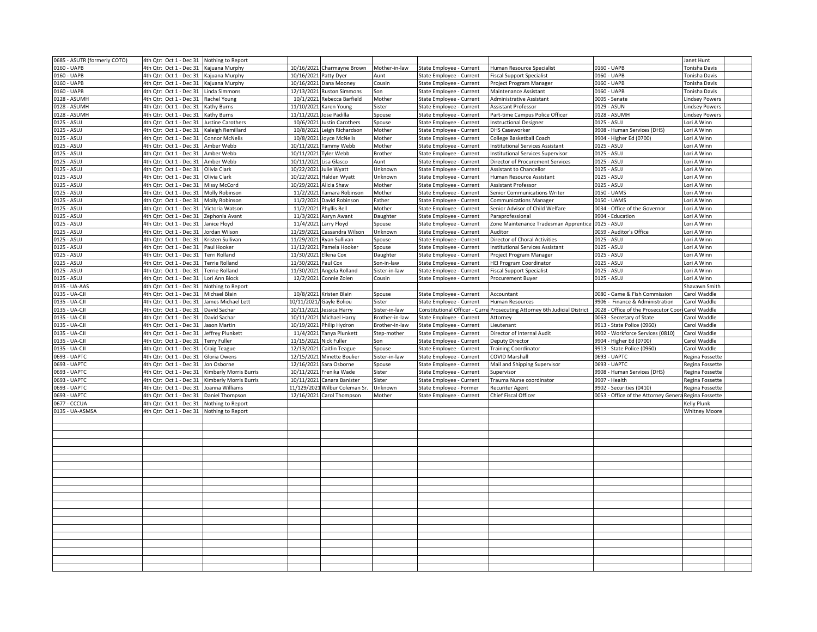| 0685 - ASUTR (formerly COTO)   | 4th Qtr: Oct 1 - Dec 31 | Nothing to Report      |                        |                            |                |                               |                                                   |                                                      | Janet Hunt            |  |
|--------------------------------|-------------------------|------------------------|------------------------|----------------------------|----------------|-------------------------------|---------------------------------------------------|------------------------------------------------------|-----------------------|--|
| 0160 - UAPB                    | 4th Qtr: Oct 1 - Dec 31 | Kajuana Murphy         |                        | 10/16/2021 Charmayne Brown | Mother-in-law  | State Employee - Current      | Human Resource Specialist                         | 0160 - UAPB                                          | Tonisha Davis         |  |
| 0160 - UAPB                    | 4th Qtr: Oct 1 - Dec 31 | Kajuana Murphy         | 10/16/2021 Patty Dyer  |                            | Aunt           | State Employee - Current      | <b>Fiscal Support Specialist</b>                  | 0160 - UAPB                                          | Tonisha Davis         |  |
| 0160 - UAPB                    | 4th Qtr: Oct 1 - Dec 31 | Kajuana Murphy         |                        | 10/16/2021 Dana Mooney     | Cousin         | State Employee - Current      | Project Program Manager                           | 0160 - UAPB                                          | Tonisha Davis         |  |
| 0160 - UAPB                    | 4th Qtr: Oct 1 - Dec 31 | Linda Simmons          |                        | 12/13/2021 Ruston Simmons  | Son            | State Employee - Current      | Maintenance Assistant                             | 0160 - UAPB                                          | Tonisha Davis         |  |
| 0128 - ASUMH                   | 4th Qtr: Oct 1 - Dec 31 | Rachel Young           |                        | 10/1/2021 Rebecca Barfield | Mother         | State Employee - Current      | Administrative Assistant                          | 0005 - Senate                                        | <b>Lindsey Powers</b> |  |
| 0128 - ASUMH                   | 4th Qtr: Oct 1 - Dec 31 | Kathy Burns            |                        | 11/10/2021 Karen Young     | Sister         | State Employee - Current      | Assistant Professor                               | 0129 - ASUN                                          | <b>Lindsey Powers</b> |  |
| 0128 - ASUMH                   | 4th Qtr: Oct 1 - Dec 31 | Kathy Burns            | 11/11/2021             | Jose Padilla               | Spouse         | State Employee - Current      | Part-time Campus Police Officer                   | 0128 - ASUMH                                         | <b>Lindsey Powers</b> |  |
| 0125 - ASUJ                    | 4th Qtr: Oct 1 - Dec 31 | Justine Carothers      | 10/6/2021              | lustin Carothers           | spouse         | State Employee - Current      | <b>Instructional Designer</b>                     | 0125 - ASUJ                                          | Lori A Winn           |  |
| 0125 - ASUJ                    | 4th Qtr: Oct 1 - Dec 31 | Kaleigh Remillard      |                        | 10/8/2021 Leigh Richardson | Mother         | State Employee - Current      | <b>DHS Caseworker</b>                             | 9908 - Human Services (DHS)                          | Lori A Winn           |  |
| 0125 - ASUJ                    |                         | Connor McNelis         |                        |                            |                |                               |                                                   | 9904 - Higher Ed (0700)                              | Lori A Winn           |  |
|                                | 4th Qtr: Oct 1 - Dec 31 |                        |                        | 10/8/2021 Joyce McNelis    | Mother         | State Employee - Current      | College Basketball Coach                          | 0125 - ASUJ                                          |                       |  |
| 0125 - ASUJ                    | 4th Qtr: Oct 1 - Dec 31 | Amber Webb             |                        | 10/11/2021 Tammy Webb      | Mother         | State Employee - Current      | <b>Institutional Services Assistant</b>           |                                                      | Lori A Winn           |  |
| 0125 - ASUJ                    | 4th Qtr: Oct 1 - Dec 31 | Amber Webb             | 10/11/2021             | Tyler Webb                 | <b>Brother</b> | State Employee - Current      | <b>Institutional Services Supervisor</b>          | 0125 - ASUJ                                          | Lori A Winn           |  |
| 0125 - ASUJ                    | 4th Qtr: Oct 1 - Dec 31 | Amber Webb             | 10/11/2021 Lisa Glasco |                            | Aunt           | State Employee - Current      | Director of Procurement Services                  | 0125 - ASUJ                                          | Lori A Winn           |  |
| 0125 - ASUJ                    | 4th Qtr: Oct 1 - Dec 31 | Olivia Clark           | 10/22/2021 Julie Wyatt |                            | Unknown        | State Employee - Current      | Assistant to Chancellor                           | 0125 - ASUJ                                          | Lori A Winn           |  |
| 0125 - ASUJ                    | 4th Qtr: Oct 1 - Dec 31 | Olivia Clark           | 10/22/2021             | Halden Wyatt               | Unknown        | State Employee - Current      | Human Resource Assistant                          | 0125 - ASUJ                                          | Lori A Winn           |  |
| 0125 - ASUJ                    | 4th Qtr: Oct 1 - Dec 31 | Missy McCord           | 10/29/2021             | Alicia Shaw                | Mother         | State Employee - Current      | Assistant Professor                               | 0125 - ASUJ                                          | Lori A Winn           |  |
| 0125 - ASUJ                    | 4th Qtr: Oct 1 - Dec 31 | Molly Robinson         |                        | 11/2/2021 Tamara Robinson  | Mother         | State Employee - Current      | Senior Communications Writer                      | 0150 - UAMS                                          | Lori A Winn           |  |
| 0125 - ASUJ                    | 4th Qtr: Oct 1 - Dec 31 | Molly Robinson         | 11/2/2021              | David Robinson             | Father         | State Employee - Current      | <b>Communications Manager</b>                     | 0150 - UAMS                                          | Lori A Winn           |  |
| 0125 - ASUJ                    | 4th Qtr: Oct 1 - Dec 31 | /ictoria Watson        | 11/2/2021              | <b>Phyllis Bell</b>        | Mother         | State Employee - Current      | Senior Advisor of Child Welfare                   | 0034 - Office of the Governor                        | Lori A Winn           |  |
| 0125 - ASUJ                    | 4th Qtr: Oct 1 - Dec 31 | Zephonia Avant         | 11/3/2021              | Aaryn Awant                | Daughter       | State Employee - Current      | Paraprofessional                                  | 9904 - Education                                     | Lori A Winn           |  |
| $0125 - ASUJ$                  | 4th Qtr: Oct 1 - Dec 31 | Janice Floyd           |                        | 11/4/2021 Larry Floyd      | Spouse         | State Employee - Current      | Zone Maintenance Tradesman Apprentice 0125 - ASUJ |                                                      | Lori A Winn           |  |
| 0125 - ASUJ                    | 4th Qtr: Oct 1 - Dec 31 | Jordan Wilson          | 11/29/2021             | Cassandra Wilson           | Unknown        | State Employee - Current      | Auditor                                           | 0059 - Auditor's Office                              | Lori A Winn           |  |
| 0125 - ASUJ                    | 4th Qtr: Oct 1 - Dec 31 | Kristen Sullivan       | 11/29/2021             | Ryan Sullivar              | Spouse         | State Employee - Current      | Director of Choral Activities                     | 0125 - ASUJ                                          | Lori A Winn           |  |
| 0125 - ASUJ                    | 4th Qtr: Oct 1 - Dec 31 | Paul Hooker            |                        | 11/12/2021 Pamela Hooker   | spouse         | State Employee - Current      | <b>Institutional Services Assistant</b>           | 0125 - ASUJ                                          | Lori A Winn           |  |
| 0125 - ASUJ                    | 4th Qtr: Oct 1 - Dec 31 | Terri Rolland          | 11/30/2021 Ellena Cox  |                            | Daughter       | State Employee - Current      | Project Program Manager                           | 0125 - ASUJ                                          | Lori A Winn           |  |
| 0125 - ASUJ                    | 4th Qtr: Oct 1 - Dec 31 | Terrie Rolland         | 11/30/2021             | Paul Cox                   | Son-in-law     | State Employee - Current      | <b>HEI Program Coordinator</b>                    | 0125 - ASUJ                                          | Lori A Winn           |  |
| 0125 - ASUJ                    | 4th Qtr: Oct 1 - Dec 31 | Terrie Rolland         | 11/30/2021             | Angela Rolland             | Sister-in-law  | State Employee - Current      | Fiscal Support Specialist                         | 0125 - ASUJ                                          | Lori A Winn           |  |
| 0125 - ASUJ                    | 4th Qtr: Oct 1 - Dec 31 | Lori Ann Block         |                        | 12/2/2021 Connie Zolen     | Cousin         | State Employee - Current      | <b>Procurement Buyer</b>                          | 0125 - ASUJ                                          | Lori A Winn           |  |
|                                |                         |                        |                        |                            |                |                               |                                                   |                                                      |                       |  |
| 0135 - UA-AAS<br>0135 - UA-CJI | 4th Qtr: Oct 1 - Dec 31 | Nothing to Report      |                        | 10/8/2021 Kristen Blain    |                |                               |                                                   |                                                      | Shavawn Smith         |  |
|                                | 4th Qtr: Oct 1 - Dec 31 | Michael Blain          |                        |                            | Spouse         | State Employee - Current      | Accountant                                        | 0080 - Game & Fish Commission                        | Carol Waddle          |  |
| 0135 - UA-CJI                  | 4th Qtr: Oct 1 - Dec 31 | James Michael Lett     |                        | 10/11/2021/ Gayle Boliou   | Sister         | State Employee - Current      | Human Resources                                   | 9906 - Finance & Administration                      | Carol Waddle          |  |
| 0135 - UA-CJI                  | 4th Qtr: Oct 1 - Dec 31 | David Sachar           |                        | 10/11/2021 Jessica Harry   | Sister-in-law  | Constitutional Officer - Curr | Prosecuting Attorney 6th Judicial District        | 0028 - Office of the Prosecutor Coor                 | Carol Waddle          |  |
| 0135 - UA-CJI                  | 4th Qtr: Oct 1 - Dec 31 | David Sachar           |                        | 10/11/2021 Michael Harry   | Brother-in-law | State Employee - Current      | Attorney                                          | 0063 - Secretary of State                            | Carol Waddle          |  |
| 0135 - UA-CJI                  | 4th Qtr: Oct 1 - Dec 31 | Jason Martin           | 10/19/2021             | Philip Hydron              | Brother-in-law | State Employee - Current      | Lieutenant                                        | 9913 - State Police (0960)                           | Carol Waddle          |  |
| 0135 - UA-CJI                  | 4th Qtr: Oct 1 - Dec 31 | Jeffrey Plunkett       | 11/4/2021              | Tanya Plunkett             | Step-mother    | State Employee - Current      | Director of Internal Audit                        | 9902 - Workforce Services (0810)                     | Carol Waddle          |  |
| 0135 - UA-CJI                  | 4th Qtr: Oct 1 - Dec 31 | Terry Fuller           | 11/15/2021 Nick Fuller |                            | Son            | State Employee - Current      | Deputy Director                                   | 9904 - Higher Ed (0700)                              | Carol Waddle          |  |
| 0135 - UA-CJI                  | 4th Qtr: Oct 1 - Dec 31 | Craig Teague           | 12/13/2021             | Caitlin Teague             | Spouse         | State Employee - Current      | <b>Training Coordinator</b>                       | 9913 - State Police (0960)                           | Carol Waddle          |  |
| 0693 - UAPTC                   | 4th Qtr: Oct 1 - Dec 31 | Gloria Owens           | 12/15/2021             | Minette Boulier            | Sister-in-law  | State Employee - Current      | <b>COVID Marshall</b>                             | 0693 - UAPTC                                         | Regina Fossett        |  |
| 0693 - UAPTC                   | 4th Qtr: Oct 1 - Dec 31 | Jon Osborne            | 12/16/2021             | Sara Osborne               | Spouse         | State Employee - Current      | Mail and Shipping Supervisor                      | 0693 - UAPTC                                         | Regina Fossette       |  |
| 0693 - UAPTC                   | 4th Qtr: Oct 1 - Dec 31 | Kimberly Morris Burris |                        | 10/11/2021 Frenika Wade    | Sister         | State Employee - Current      | Supervisor                                        | 9908 - Human Services (DHS)                          | Regina Fossette       |  |
| 0693 - UAPTC                   | 4th Qtr: Oct 1 - Dec 31 | Kimberly Morris Burris | 10/11/2021             | Canara Banister            | Sister         | State Employee - Current      | Trauma Nurse coordinator                          | 9907 - Health                                        | Regina Fossette       |  |
| 0693 - UAPTC                   | 4th Qtr: Oct 1 - Dec 31 | oanna Williams         | 11/129/202             | Wilbur Coleman Sr          | Unknown        | State Employee - Former       | Recuriter Agent                                   | 9902 - Securities (0410)                             | Regina Fossette       |  |
| 0693 - UAPTC                   | 4th Qtr: Oct 1 - Dec 31 | Daniel Thompson        | 12/16/2021             | Carol Thompson             | Mother         | State Employee - Current      | Chief Fiscal Officer                              | 0053 - Office of the Attorney Genera Regina Fossette |                       |  |
| 0677 - CCCUA                   | 4th Qtr: Oct 1 - Dec 31 | Nothing to Report      |                        |                            |                |                               |                                                   |                                                      | Kelly Plunk           |  |
| 0135 - UA-ASMSA                | 4th Qtr: Oct 1 - Dec 31 | Nothing to Report      |                        |                            |                |                               |                                                   |                                                      | Whitney Moore         |  |
|                                |                         |                        |                        |                            |                |                               |                                                   |                                                      |                       |  |
|                                |                         |                        |                        |                            |                |                               |                                                   |                                                      |                       |  |
|                                |                         |                        |                        |                            |                |                               |                                                   |                                                      |                       |  |
|                                |                         |                        |                        |                            |                |                               |                                                   |                                                      |                       |  |
|                                |                         |                        |                        |                            |                |                               |                                                   |                                                      |                       |  |
|                                |                         |                        |                        |                            |                |                               |                                                   |                                                      |                       |  |
|                                |                         |                        |                        |                            |                |                               |                                                   |                                                      |                       |  |
|                                |                         |                        |                        |                            |                |                               |                                                   |                                                      |                       |  |
|                                |                         |                        |                        |                            |                |                               |                                                   |                                                      |                       |  |
|                                |                         |                        |                        |                            |                |                               |                                                   |                                                      |                       |  |
|                                |                         |                        |                        |                            |                |                               |                                                   |                                                      |                       |  |
|                                |                         |                        |                        |                            |                |                               |                                                   |                                                      |                       |  |
|                                |                         |                        |                        |                            |                |                               |                                                   |                                                      |                       |  |
|                                |                         |                        |                        |                            |                |                               |                                                   |                                                      |                       |  |
|                                |                         |                        |                        |                            |                |                               |                                                   |                                                      |                       |  |
|                                |                         |                        |                        |                            |                |                               |                                                   |                                                      |                       |  |
|                                |                         |                        |                        |                            |                |                               |                                                   |                                                      |                       |  |
|                                |                         |                        |                        |                            |                |                               |                                                   |                                                      |                       |  |
|                                |                         |                        |                        |                            |                |                               |                                                   |                                                      |                       |  |
|                                |                         |                        |                        |                            |                |                               |                                                   |                                                      |                       |  |
|                                |                         |                        |                        |                            |                |                               |                                                   |                                                      |                       |  |